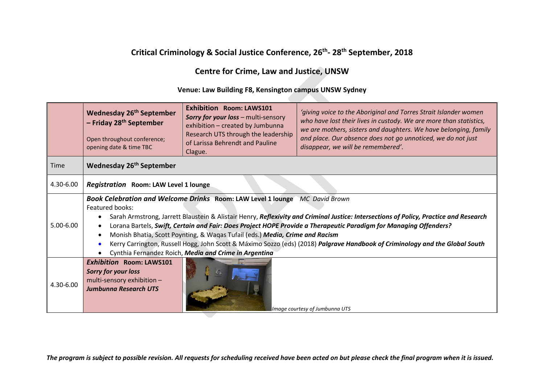# **Critical Criminology & Social Justice Conference, 26th- 28th September, 2018**

## **Centre for Crime, Law and Justice, UNSW**

#### **Venue: Law Building F8, Kensington campus UNSW Sydney**

|             | <b>Wednesday 26th September</b><br>- Friday 28 <sup>th</sup> September<br>Open throughout conference;<br>opening date & time TBC                                                                                                                                                                                                                                                                                                                                                                                                                                                                                                      | <b>Exhibition Room: LAWS101</b><br><b>Sorry for your loss - multi-sensory</b><br>exhibition - created by Jumbunna<br>Research UTS through the leadership<br>of Larissa Behrendt and Pauline<br>Clague. | 'giving voice to the Aboriginal and Torres Strait Islander women<br>who have lost their lives in custody. We are more than statistics,<br>we are mothers, sisters and daughters. We have belonging, family<br>and place. Our absence does not go unnoticed, we do not just<br>disappear, we will be remembered'. |
|-------------|---------------------------------------------------------------------------------------------------------------------------------------------------------------------------------------------------------------------------------------------------------------------------------------------------------------------------------------------------------------------------------------------------------------------------------------------------------------------------------------------------------------------------------------------------------------------------------------------------------------------------------------|--------------------------------------------------------------------------------------------------------------------------------------------------------------------------------------------------------|------------------------------------------------------------------------------------------------------------------------------------------------------------------------------------------------------------------------------------------------------------------------------------------------------------------|
| <b>Time</b> | Wednesday 26 <sup>th</sup> September                                                                                                                                                                                                                                                                                                                                                                                                                                                                                                                                                                                                  |                                                                                                                                                                                                        |                                                                                                                                                                                                                                                                                                                  |
| 4.30-6.00   | Registration Room: LAW Level 1 lounge                                                                                                                                                                                                                                                                                                                                                                                                                                                                                                                                                                                                 |                                                                                                                                                                                                        |                                                                                                                                                                                                                                                                                                                  |
| 5.00-6.00   | Book Celebration and Welcome Drinks Room: LAW Level 1 lounge MC David Brown<br>Featured books:<br>Sarah Armstrong, Jarrett Blaustein & Alistair Henry, Reflexivity and Criminal Justice: Intersections of Policy, Practice and Research<br>Lorana Bartels, Swift, Certain and Fair: Does Project HOPE Provide a Therapeutic Paradigm for Managing Offenders?<br>Monish Bhatia, Scott Poynting, & Waqas Tufail (eds.) Media, Crime and Racism<br>Kerry Carrington, Russell Hogg, John Scott & Máximo Sozzo (eds) (2018) Palgrave Handbook of Criminology and the Global South<br>Cynthia Fernandez Roich, Media and Crime in Argentina |                                                                                                                                                                                                        |                                                                                                                                                                                                                                                                                                                  |
| 4.30-6.00   | <b>Exhibition Room: LAWS101</b><br><b>Sorry for your loss</b><br>multi-sensory exhibition -<br><b>Jumbunna Research UTS</b><br>Image courtesy of Jumbunna UTS                                                                                                                                                                                                                                                                                                                                                                                                                                                                         |                                                                                                                                                                                                        |                                                                                                                                                                                                                                                                                                                  |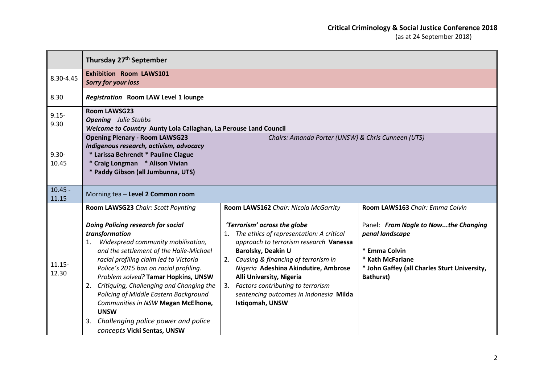### **Critical Criminology & Social Justice Conference 2018**

|                    | Thursday 27 <sup>th</sup> September                                                                                                                                                                                                                                                                                                                                                                                                                                                                                                       |                                                                                                                                                                                                                                                                                                                                                                                                        |                                                                                                                                                                                                     |
|--------------------|-------------------------------------------------------------------------------------------------------------------------------------------------------------------------------------------------------------------------------------------------------------------------------------------------------------------------------------------------------------------------------------------------------------------------------------------------------------------------------------------------------------------------------------------|--------------------------------------------------------------------------------------------------------------------------------------------------------------------------------------------------------------------------------------------------------------------------------------------------------------------------------------------------------------------------------------------------------|-----------------------------------------------------------------------------------------------------------------------------------------------------------------------------------------------------|
| 8.30-4.45          | <b>Exhibition Room LAWS101</b><br><b>Sorry for your loss</b>                                                                                                                                                                                                                                                                                                                                                                                                                                                                              |                                                                                                                                                                                                                                                                                                                                                                                                        |                                                                                                                                                                                                     |
| 8.30               | <b>Registration Room LAW Level 1 lounge</b>                                                                                                                                                                                                                                                                                                                                                                                                                                                                                               |                                                                                                                                                                                                                                                                                                                                                                                                        |                                                                                                                                                                                                     |
| $9.15 -$<br>9.30   | <b>Room LAWSG23</b><br><b>Opening</b> Julie Stubbs<br>Welcome to Country Aunty Lola Callaghan, La Perouse Land Council                                                                                                                                                                                                                                                                                                                                                                                                                    |                                                                                                                                                                                                                                                                                                                                                                                                        |                                                                                                                                                                                                     |
| $9.30 -$<br>10.45  | <b>Opening Plenary - Room LAWSG23</b><br>Chairs: Amanda Porter (UNSW) & Chris Cunneen (UTS)<br>Indigenous research, activism, advocacy<br>* Larissa Behrendt * Pauline Clague<br>* Craig Longman * Alison Vivian<br>* Paddy Gibson (all Jumbunna, UTS)                                                                                                                                                                                                                                                                                    |                                                                                                                                                                                                                                                                                                                                                                                                        |                                                                                                                                                                                                     |
| $10.45 -$<br>11.15 | Morning tea - Level 2 Common room                                                                                                                                                                                                                                                                                                                                                                                                                                                                                                         |                                                                                                                                                                                                                                                                                                                                                                                                        |                                                                                                                                                                                                     |
| $11.15 -$<br>12.30 | Room LAWSG23 Chair: Scott Poynting<br><b>Doing Policing research for social</b><br>transformation<br>Widespread community mobilisation,<br>1.<br>and the settlement of the Haile-Michael<br>racial profiling claim led to Victoria<br>Police's 2015 ban on racial profiling.<br>Problem solved? Tamar Hopkins, UNSW<br>2. Critiquing, Challenging and Changing the<br>Policing of Middle Eastern Background<br>Communities in NSW Megan McElhone,<br><b>UNSW</b><br>3. Challenging police power and police<br>concepts Vicki Sentas, UNSW | Room LAWS162 Chair: Nicola McGarrity<br>'Terrorism' across the globe<br>1. The ethics of representation: A critical<br>approach to terrorism research Vanessa<br>Barolsky, Deakin U<br>2. Causing & financing of terrorism in<br>Nigeria Adeshina Akindutire, Ambrose<br>Alli University, Nigeria<br>3. Factors contributing to terrorism<br>sentencing outcomes in Indonesia Milda<br>Istiqomah, UNSW | Room LAWS163 Chair: Emma Colvin<br>Panel: From Nagle to Nowthe Changing<br>penal landscape<br>* Emma Colvin<br>* Kath McFarlane<br>* John Gaffey (all Charles Sturt University,<br><b>Bathurst)</b> |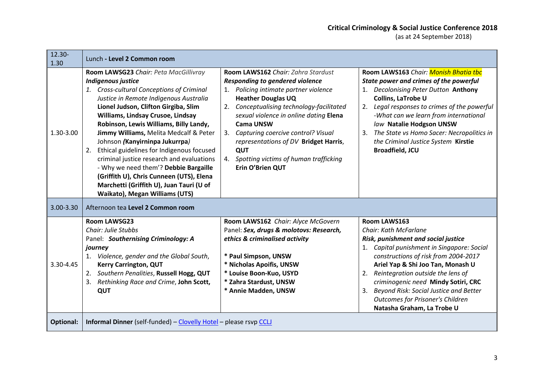| 12.30-<br>1.30   | Lunch - Level 2 Common room                                                                                                                                                                                                                                                                                                                                                                                                                                                                                                                                                                                              |                                                                                                                                                                                                                                                                                                                                                                                                                     |                                                                                                                                                                                                                                                                                                                                                                                                                       |
|------------------|--------------------------------------------------------------------------------------------------------------------------------------------------------------------------------------------------------------------------------------------------------------------------------------------------------------------------------------------------------------------------------------------------------------------------------------------------------------------------------------------------------------------------------------------------------------------------------------------------------------------------|---------------------------------------------------------------------------------------------------------------------------------------------------------------------------------------------------------------------------------------------------------------------------------------------------------------------------------------------------------------------------------------------------------------------|-----------------------------------------------------------------------------------------------------------------------------------------------------------------------------------------------------------------------------------------------------------------------------------------------------------------------------------------------------------------------------------------------------------------------|
| 1.30-3.00        | Room LAWSG23 Chair: Peta MacGillivray<br>Indigenous justice<br>1. Cross-cultural Conceptions of Criminal<br>Justice in Remote Indigenous Australia<br>Lionel Judson, Clifton Girgiba, Slim<br>Williams, Lindsay Crusoe, Lindsay<br>Robinson, Lewis Williams, Billy Landy,<br>Jimmy Williams, Melita Medcalf & Peter<br>Johnson (Kanyirninpa Jukurrpa)<br>Ethical guidelines for Indigenous focused<br>2.<br>criminal justice research and evaluations<br>- Why we need them'? Debbie Bargaille<br>(Griffith U), Chris Cunneen (UTS), Elena<br>Marchetti (Griffith U), Juan Tauri (U of<br>Waikato), Megan Williams (UTS) | Room LAWS162 Chair: Zahra Stardust<br><b>Responding to gendered violence</b><br>Policing intimate partner violence<br><b>Heather Douglas UQ</b><br>2. Conceptualising technology-facilitated<br>sexual violence in online dating Elena<br><b>Cama UNSW</b><br>3. Capturing coercive control? Visual<br>representations of DV Bridget Harris,<br>QUT<br>4. Spotting victims of human trafficking<br>Erin O'Brien QUT | Room LAWS163 Chair: Monish Bhatia the<br>State power and crimes of the powerful<br>1. Decolonising Peter Dutton Anthony<br>Collins, LaTrobe U<br>2. Legal responses to crimes of the powerful<br>-What can we learn from international<br>law Natalie Hodgson UNSW<br>The State vs Homo Sacer: Necropolitics in<br>3.<br>the Criminal Justice System Kirstie<br><b>Broadfield, JCU</b>                                |
| 3.00-3.30        | Afternoon tea Level 2 Common room                                                                                                                                                                                                                                                                                                                                                                                                                                                                                                                                                                                        |                                                                                                                                                                                                                                                                                                                                                                                                                     |                                                                                                                                                                                                                                                                                                                                                                                                                       |
| 3.30-4.45        | <b>Room LAWSG23</b><br><b>Chair: Julie Stubbs</b><br>Panel: Southernising Criminology: A<br>journey<br>1. Violence, gender and the Global South,<br><b>Kerry Carrington, QUT</b><br>Southern Penalities, Russell Hogg, QUT<br>2.<br>Rethinking Race and Crime, John Scott,<br>3.<br>QUT                                                                                                                                                                                                                                                                                                                                  | Room LAWS162 Chair: Alyce McGovern<br>Panel: Sex, drugs & molotovs: Research,<br>ethics & criminalised activity<br>* Paul Simpson, UNSW<br>* Nicholas Apoifis, UNSW<br>* Louise Boon-Kuo, USYD<br>* Zahra Stardust, UNSW<br>* Annie Madden, UNSW                                                                                                                                                                    | Room LAWS163<br>Chair: Kath McFarlane<br>Risk, punishment and social justice<br>Capital punishment in Singapore: Social<br>1.<br>constructions of risk from 2004-2017<br>Ariel Yap & Shi Joo Tan, Monash U<br>Reintegration outside the lens of<br>2.<br>criminogenic need Mindy Sotiri, CRC<br>Beyond Risk: Social Justice and Better<br>3.<br><b>Outcomes for Prisoner's Children</b><br>Natasha Graham, La Trobe U |
| <b>Optional:</b> | <b>Informal Dinner</b> (self-funded) - Clovelly Hotel - please rsvp CCLJ                                                                                                                                                                                                                                                                                                                                                                                                                                                                                                                                                 |                                                                                                                                                                                                                                                                                                                                                                                                                     |                                                                                                                                                                                                                                                                                                                                                                                                                       |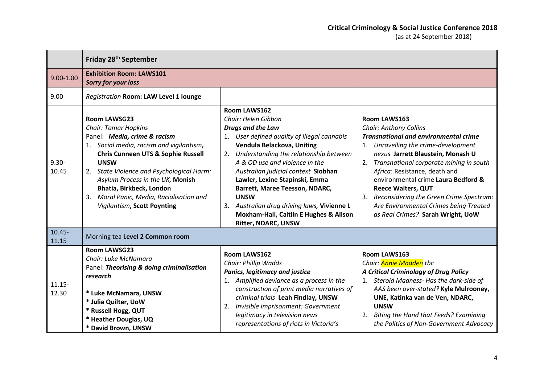|                    | Friday 28 <sup>th</sup> September                                                                                                                                                                                                                                                                                                                                                      |                                                                                                                                                                                                                                                                                                                                                                                                                                                                                                |                                                                                                                                                                                                                                                                                                                                                                                                                                                            |
|--------------------|----------------------------------------------------------------------------------------------------------------------------------------------------------------------------------------------------------------------------------------------------------------------------------------------------------------------------------------------------------------------------------------|------------------------------------------------------------------------------------------------------------------------------------------------------------------------------------------------------------------------------------------------------------------------------------------------------------------------------------------------------------------------------------------------------------------------------------------------------------------------------------------------|------------------------------------------------------------------------------------------------------------------------------------------------------------------------------------------------------------------------------------------------------------------------------------------------------------------------------------------------------------------------------------------------------------------------------------------------------------|
| $9.00 - 1.00$      | <b>Exhibition Room: LAWS101</b><br><b>Sorry for your loss</b>                                                                                                                                                                                                                                                                                                                          |                                                                                                                                                                                                                                                                                                                                                                                                                                                                                                |                                                                                                                                                                                                                                                                                                                                                                                                                                                            |
| 9.00               | Registration Room: LAW Level 1 lounge                                                                                                                                                                                                                                                                                                                                                  |                                                                                                                                                                                                                                                                                                                                                                                                                                                                                                |                                                                                                                                                                                                                                                                                                                                                                                                                                                            |
| $9.30 -$<br>10.45  | <b>Room LAWSG23</b><br><b>Chair: Tamar Hopkins</b><br>Panel: Media, crime & racism<br>1. Social media, racism and vigilantism,<br><b>Chris Cunneen UTS &amp; Sophie Russell</b><br><b>UNSW</b><br>2. State Violence and Psychological Harm:<br>Asylum Process in the UK, Monish<br>Bhatia, Birkbeck, London<br>3. Moral Panic, Media, Racialisation and<br>Vigilantism, Scott Poynting | Room LAWS162<br>Chair: Helen Gibbon<br><b>Drugs and the Law</b><br>1. User defined quality of illegal cannabis<br>Vendula Belackova, Uniting<br>2. Understanding the relationship between<br>A & OD use and violence in the<br>Australian judicial context Siobhan<br>Lawler, Lexine Stapinski, Emma<br><b>Barrett, Maree Teesson, NDARC,</b><br><b>UNSW</b><br>3. Australian drug driving laws, Vivienne L<br><b>Moxham-Hall, Caitlin E Hughes &amp; Alison</b><br><b>Ritter, NDARC, UNSW</b> | Room LAWS163<br><b>Chair: Anthony Collins</b><br><b>Transnational and environmental crime</b><br>1. Unravelling the crime-development<br>nexus Jarrett Blaustein, Monash U<br>2. Transnational corporate mining in south<br>Africa: Resistance, death and<br>environmental crime Laura Bedford &<br><b>Reece Walters, QUT</b><br>3. Reconsidering the Green Crime Spectrum:<br>Are Environmental Crimes being Treated<br>as Real Crimes? Sarah Wright, UoW |
| $10.45 -$<br>11.15 | Morning tea Level 2 Common room                                                                                                                                                                                                                                                                                                                                                        |                                                                                                                                                                                                                                                                                                                                                                                                                                                                                                |                                                                                                                                                                                                                                                                                                                                                                                                                                                            |
| $11.15 -$<br>12.30 | <b>Room LAWSG23</b><br>Chair: Luke McNamara<br>Panel: Theorising & doing criminalisation<br>research<br>* Luke McNamara, UNSW<br>* Julia Quilter, UoW<br>* Russell Hogg, QUT<br>* Heather Douglas, UQ<br>* David Brown, UNSW                                                                                                                                                           | <b>Room LAWS162</b><br>Chair: Phillip Wadds<br><b>Panics, legitimacy and justice</b><br>1. Amplified deviance as a process in the<br>construction of print media narratives of<br>criminal trials Leah Findlay, UNSW<br>2. Invisible imprisonment: Government<br>legitimacy in television news<br>representations of riots in Victoria's                                                                                                                                                       | <b>Room LAWS163</b><br>Chair: <b>Annie Madden</b> tbc<br>A Critical Criminology of Drug Policy<br>1. Steroid Madness- Has the dark-side of<br>AAS been over-stated? Kyle Mulrooney,<br>UNE, Katinka van de Ven, NDARC,<br><b>UNSW</b><br>2. Biting the Hand that Feeds? Examining<br>the Politics of Non-Government Advocacy                                                                                                                               |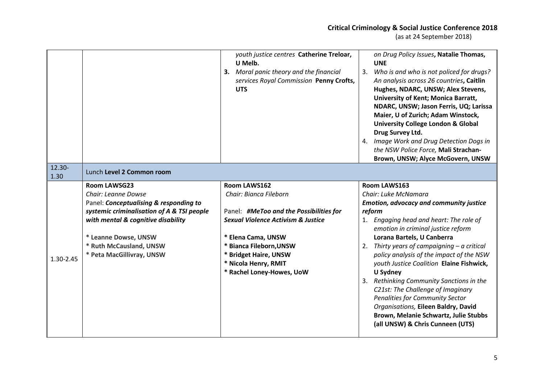### **Critical Criminology & Social Justice Conference 2018**

|                |                                                                                                                                                                                                                                                          | youth justice centres Catherine Treloar,<br>U Melb.<br>3. Moral panic theory and the financial<br>services Royal Commission Penny Crofts,<br><b>UTS</b>                                                                                                           | on Drug Policy Issues, Natalie Thomas,<br><b>UNE</b><br>3.<br>Who is and who is not policed for drugs?<br>An analysis across 26 countries, Caitlin<br>Hughes, NDARC, UNSW; Alex Stevens,<br>University of Kent; Monica Barratt,<br>NDARC, UNSW; Jason Ferris, UQ; Larissa<br>Maier, U of Zurich; Adam Winstock,<br><b>University College London &amp; Global</b><br>Drug Survey Ltd.<br>4. Image Work and Drug Detection Dogs in<br>the NSW Police Force, Mali Strachan-<br>Brown, UNSW; Alyce McGovern, UNSW                                                                                             |
|----------------|----------------------------------------------------------------------------------------------------------------------------------------------------------------------------------------------------------------------------------------------------------|-------------------------------------------------------------------------------------------------------------------------------------------------------------------------------------------------------------------------------------------------------------------|-----------------------------------------------------------------------------------------------------------------------------------------------------------------------------------------------------------------------------------------------------------------------------------------------------------------------------------------------------------------------------------------------------------------------------------------------------------------------------------------------------------------------------------------------------------------------------------------------------------|
| 12.30-<br>1.30 | Lunch Level 2 Common room                                                                                                                                                                                                                                |                                                                                                                                                                                                                                                                   |                                                                                                                                                                                                                                                                                                                                                                                                                                                                                                                                                                                                           |
| 1.30-2.45      | <b>Room LAWSG23</b><br>Chair: Leanne Dowse<br>Panel: Conceptualising & responding to<br>systemic criminalisation of A & TSI people<br>with mental & cognitive disability<br>* Leanne Dowse, UNSW<br>* Ruth McCausland, UNSW<br>* Peta MacGillivray, UNSW | Room LAWS162<br>Chair: Bianca Fileborn<br>Panel: #MeToo and the Possibilities for<br><b>Sexual Violence Activism &amp; Justice</b><br>* Elena Cama, UNSW<br>* Bianca Fileborn, UNSW<br>* Bridget Haire, UNSW<br>* Nicola Henry, RMIT<br>* Rachel Loney-Howes, UoW | Room LAWS163<br>Chair: Luke McNamara<br><b>Emotion, advocacy and community justice</b><br>reform<br>1. Engaging head and heart: The role of<br>emotion in criminal justice reform<br>Lorana Bartels, U Canberra<br>2. Thirty years of campaigning $-$ a critical<br>policy analysis of the impact of the NSW<br>youth Justice Coalition Elaine Fishwick,<br>U Sydney<br>Rethinking Community Sanctions in the<br>C21st: The Challenge of Imaginary<br>Penalities for Community Sector<br>Organisations, Eileen Baldry, David<br>Brown, Melanie Schwartz, Julie Stubbs<br>(all UNSW) & Chris Cunneen (UTS) |